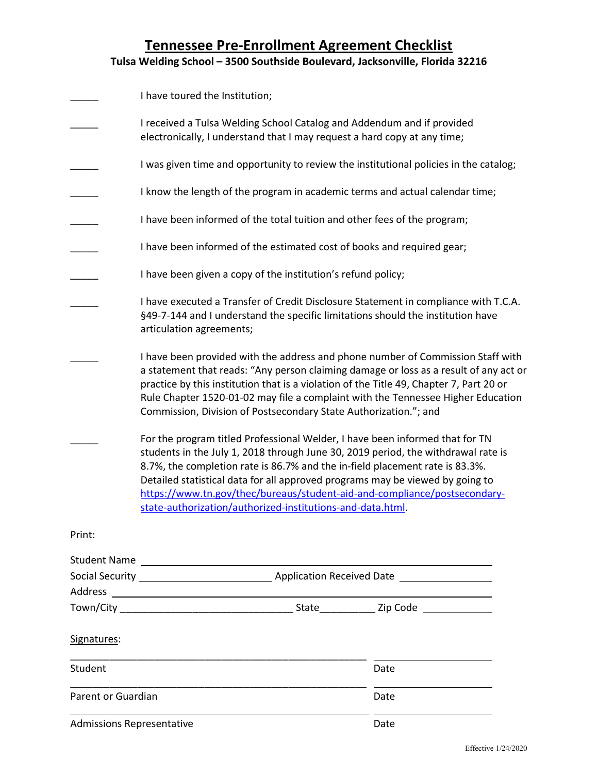|                                  | I have toured the Institution;                                                                                                                                                                                                                                                                                                                                                                                                                                                |      |  |
|----------------------------------|-------------------------------------------------------------------------------------------------------------------------------------------------------------------------------------------------------------------------------------------------------------------------------------------------------------------------------------------------------------------------------------------------------------------------------------------------------------------------------|------|--|
|                                  | I received a Tulsa Welding School Catalog and Addendum and if provided<br>electronically, I understand that I may request a hard copy at any time;                                                                                                                                                                                                                                                                                                                            |      |  |
|                                  | I was given time and opportunity to review the institutional policies in the catalog;                                                                                                                                                                                                                                                                                                                                                                                         |      |  |
|                                  | I know the length of the program in academic terms and actual calendar time;                                                                                                                                                                                                                                                                                                                                                                                                  |      |  |
|                                  | I have been informed of the total tuition and other fees of the program;                                                                                                                                                                                                                                                                                                                                                                                                      |      |  |
|                                  | I have been informed of the estimated cost of books and required gear;                                                                                                                                                                                                                                                                                                                                                                                                        |      |  |
|                                  | I have been given a copy of the institution's refund policy;                                                                                                                                                                                                                                                                                                                                                                                                                  |      |  |
|                                  | I have executed a Transfer of Credit Disclosure Statement in compliance with T.C.A.<br>§49-7-144 and I understand the specific limitations should the institution have<br>articulation agreements;                                                                                                                                                                                                                                                                            |      |  |
|                                  | I have been provided with the address and phone number of Commission Staff with<br>a statement that reads: "Any person claiming damage or loss as a result of any act or<br>practice by this institution that is a violation of the Title 49, Chapter 7, Part 20 or<br>Rule Chapter 1520-01-02 may file a complaint with the Tennessee Higher Education<br>Commission, Division of Postsecondary State Authorization."; and                                                   |      |  |
|                                  | For the program titled Professional Welder, I have been informed that for TN<br>students in the July 1, 2018 through June 30, 2019 period, the withdrawal rate is<br>8.7%, the completion rate is 86.7% and the in-field placement rate is 83.3%.<br>Detailed statistical data for all approved programs may be viewed by going to<br>https://www.tn.gov/thec/bureaus/student-aid-and-compliance/postsecondary-<br>state-authorization/authorized-institutions-and-data.html. |      |  |
| Print:                           |                                                                                                                                                                                                                                                                                                                                                                                                                                                                               |      |  |
|                                  |                                                                                                                                                                                                                                                                                                                                                                                                                                                                               |      |  |
|                                  | Social Security League 2012 Application Received Date                                                                                                                                                                                                                                                                                                                                                                                                                         |      |  |
|                                  |                                                                                                                                                                                                                                                                                                                                                                                                                                                                               |      |  |
|                                  |                                                                                                                                                                                                                                                                                                                                                                                                                                                                               |      |  |
| Signatures:                      |                                                                                                                                                                                                                                                                                                                                                                                                                                                                               |      |  |
| Student                          |                                                                                                                                                                                                                                                                                                                                                                                                                                                                               | Date |  |
| Parent or Guardian               |                                                                                                                                                                                                                                                                                                                                                                                                                                                                               | Date |  |
| <b>Admissions Representative</b> |                                                                                                                                                                                                                                                                                                                                                                                                                                                                               | Date |  |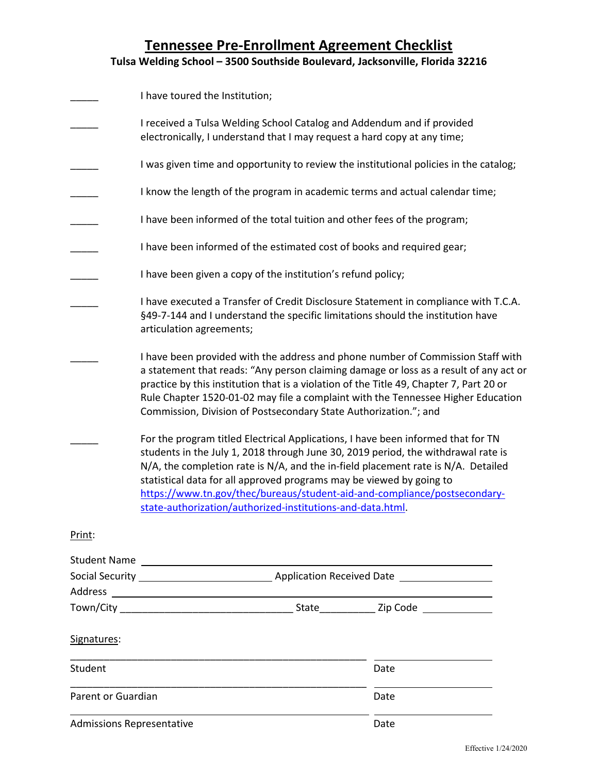|                                  | I have toured the Institution;                                                                                                                                                                                                                                                                                                                                                                                                                                                |      |  |
|----------------------------------|-------------------------------------------------------------------------------------------------------------------------------------------------------------------------------------------------------------------------------------------------------------------------------------------------------------------------------------------------------------------------------------------------------------------------------------------------------------------------------|------|--|
|                                  | I received a Tulsa Welding School Catalog and Addendum and if provided<br>electronically, I understand that I may request a hard copy at any time;                                                                                                                                                                                                                                                                                                                            |      |  |
|                                  | I was given time and opportunity to review the institutional policies in the catalog;                                                                                                                                                                                                                                                                                                                                                                                         |      |  |
|                                  | I know the length of the program in academic terms and actual calendar time;                                                                                                                                                                                                                                                                                                                                                                                                  |      |  |
|                                  | I have been informed of the total tuition and other fees of the program;                                                                                                                                                                                                                                                                                                                                                                                                      |      |  |
|                                  | I have been informed of the estimated cost of books and required gear;                                                                                                                                                                                                                                                                                                                                                                                                        |      |  |
|                                  | I have been given a copy of the institution's refund policy;                                                                                                                                                                                                                                                                                                                                                                                                                  |      |  |
|                                  | I have executed a Transfer of Credit Disclosure Statement in compliance with T.C.A.<br>§49-7-144 and I understand the specific limitations should the institution have<br>articulation agreements;                                                                                                                                                                                                                                                                            |      |  |
|                                  | I have been provided with the address and phone number of Commission Staff with<br>a statement that reads: "Any person claiming damage or loss as a result of any act or<br>practice by this institution that is a violation of the Title 49, Chapter 7, Part 20 or<br>Rule Chapter 1520-01-02 may file a complaint with the Tennessee Higher Education<br>Commission, Division of Postsecondary State Authorization."; and                                                   |      |  |
|                                  | For the program titled Electrical Applications, I have been informed that for TN<br>students in the July 1, 2018 through June 30, 2019 period, the withdrawal rate is<br>N/A, the completion rate is N/A, and the in-field placement rate is N/A. Detailed<br>statistical data for all approved programs may be viewed by going to<br>https://www.tn.gov/thec/bureaus/student-aid-and-compliance/postsecondary-<br>state-authorization/authorized-institutions-and-data.html. |      |  |
| Print:                           |                                                                                                                                                                                                                                                                                                                                                                                                                                                                               |      |  |
|                                  |                                                                                                                                                                                                                                                                                                                                                                                                                                                                               |      |  |
|                                  | Social Security League 2012 Application Received Date                                                                                                                                                                                                                                                                                                                                                                                                                         |      |  |
|                                  |                                                                                                                                                                                                                                                                                                                                                                                                                                                                               |      |  |
|                                  |                                                                                                                                                                                                                                                                                                                                                                                                                                                                               |      |  |
| Signatures:                      |                                                                                                                                                                                                                                                                                                                                                                                                                                                                               |      |  |
| Student                          |                                                                                                                                                                                                                                                                                                                                                                                                                                                                               | Date |  |
| Parent or Guardian               |                                                                                                                                                                                                                                                                                                                                                                                                                                                                               | Date |  |
| <b>Admissions Representative</b> |                                                                                                                                                                                                                                                                                                                                                                                                                                                                               | Date |  |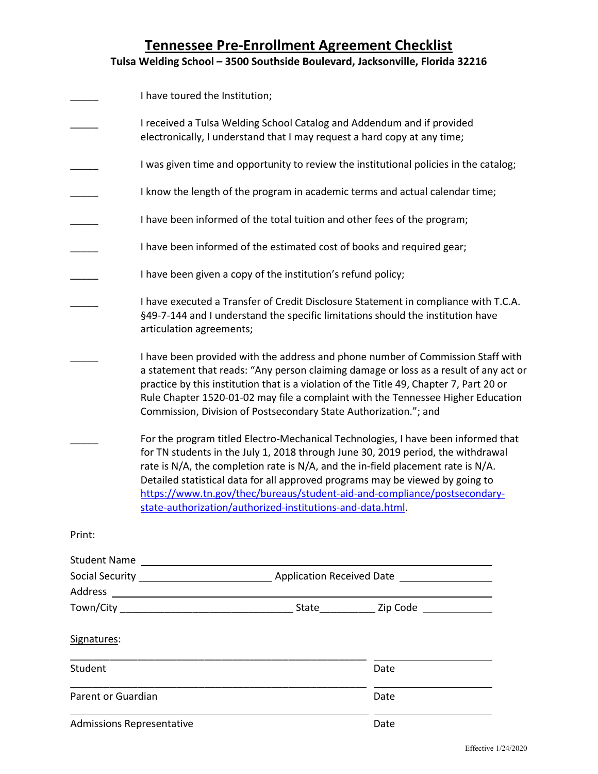|                                  | I have toured the Institution;                                                                                                                                                                                                                                                                                                                                                                                                                                                        |      |  |
|----------------------------------|---------------------------------------------------------------------------------------------------------------------------------------------------------------------------------------------------------------------------------------------------------------------------------------------------------------------------------------------------------------------------------------------------------------------------------------------------------------------------------------|------|--|
|                                  | I received a Tulsa Welding School Catalog and Addendum and if provided<br>electronically, I understand that I may request a hard copy at any time;                                                                                                                                                                                                                                                                                                                                    |      |  |
|                                  | I was given time and opportunity to review the institutional policies in the catalog;                                                                                                                                                                                                                                                                                                                                                                                                 |      |  |
|                                  | I know the length of the program in academic terms and actual calendar time;                                                                                                                                                                                                                                                                                                                                                                                                          |      |  |
|                                  | I have been informed of the total tuition and other fees of the program;                                                                                                                                                                                                                                                                                                                                                                                                              |      |  |
|                                  | I have been informed of the estimated cost of books and required gear;                                                                                                                                                                                                                                                                                                                                                                                                                |      |  |
|                                  | I have been given a copy of the institution's refund policy;                                                                                                                                                                                                                                                                                                                                                                                                                          |      |  |
|                                  | I have executed a Transfer of Credit Disclosure Statement in compliance with T.C.A.<br>§49-7-144 and I understand the specific limitations should the institution have<br>articulation agreements;                                                                                                                                                                                                                                                                                    |      |  |
|                                  | I have been provided with the address and phone number of Commission Staff with<br>a statement that reads: "Any person claiming damage or loss as a result of any act or<br>practice by this institution that is a violation of the Title 49, Chapter 7, Part 20 or<br>Rule Chapter 1520-01-02 may file a complaint with the Tennessee Higher Education<br>Commission, Division of Postsecondary State Authorization."; and                                                           |      |  |
|                                  | For the program titled Electro-Mechanical Technologies, I have been informed that<br>for TN students in the July 1, 2018 through June 30, 2019 period, the withdrawal<br>rate is N/A, the completion rate is N/A, and the in-field placement rate is N/A.<br>Detailed statistical data for all approved programs may be viewed by going to<br>https://www.tn.gov/thec/bureaus/student-aid-and-compliance/postsecondary-<br>state-authorization/authorized-institutions-and-data.html. |      |  |
| Print:                           |                                                                                                                                                                                                                                                                                                                                                                                                                                                                                       |      |  |
|                                  |                                                                                                                                                                                                                                                                                                                                                                                                                                                                                       |      |  |
|                                  | Social Security League 2012 Application Received Date                                                                                                                                                                                                                                                                                                                                                                                                                                 |      |  |
|                                  |                                                                                                                                                                                                                                                                                                                                                                                                                                                                                       |      |  |
|                                  |                                                                                                                                                                                                                                                                                                                                                                                                                                                                                       |      |  |
| Signatures:                      |                                                                                                                                                                                                                                                                                                                                                                                                                                                                                       |      |  |
| Student                          |                                                                                                                                                                                                                                                                                                                                                                                                                                                                                       | Date |  |
| Parent or Guardian               |                                                                                                                                                                                                                                                                                                                                                                                                                                                                                       | Date |  |
| <b>Admissions Representative</b> |                                                                                                                                                                                                                                                                                                                                                                                                                                                                                       | Date |  |